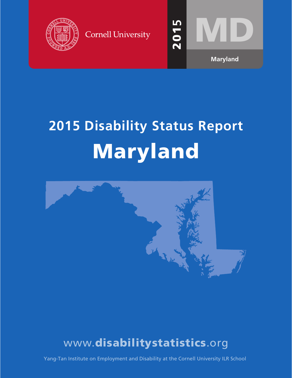

**Cornell University** 



# **2015 Disability Status Report** Maryland



## www.disabilitystatistics.org

Yang-Tan Institute on Employment and Disability at the Cornell University ILR School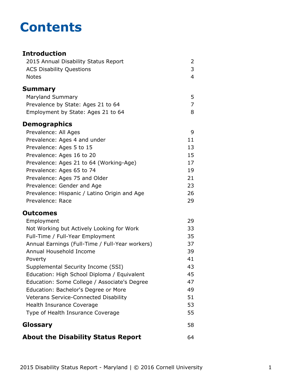## **Contents**

#### **Introduction** [2015 Annual Disability Status Report](#page-2-0) 2 [ACS Disability Questions](#page-3-0) 3 [Notes](#page-4-0) 4 **[Summary](#page-5-0)** [Maryland Summary](#page-5-0) **5** [Prevalence by State: Ages 21 to 64](#page-7-0) 7 [Employment by State: Ages 21 to 64](#page-8-0) 8 **Demographics** [Prevalence: All Ages](#page-9-0) 9 [Prevalence: Ages 4 and under](#page-11-0) 11 [Prevalence: Ages 5 to 15](#page-13-0) 13 [Prevalence: Ages 16 to 20](#page-15-0) 15 [Prevalence: Ages 21 to 64 \(Working-Age\)](#page-17-0) 17 [Prevalence: Ages 65 to 74](#page-19-0) 19 [Prevalence: Ages 75 and Older](#page-21-0) 21 [Prevalence: Gender and Age](#page-23-0) 23 [Prevalence: Hispanic / Latino Origin and Age](#page-26-0) 26 [Prevalence: Race](#page-29-0) 29 **Outcomes** [Employment](#page-31-0) 29 [Not Working but Actively Looking for Work](#page-33-0) 33 [Full-Time / Full-Year Employment](#page-35-0) 35 [Annual Earnings \(Full-Time / Full-Year workers\)](#page-37-0) 37 [Annual Household Income](#page-39-0) 39 [Poverty](#page-41-0) 41 [Supplemental Security Income \(SSI\)](#page-43-0) 43 [Education: High School Diploma / Equivalent](#page-45-0) 45 [Education: Some College / Associate's Degree](#page-47-0) 47 [Education: Bachelor's Degree or More](#page-49-0) **1988** [Veterans Service-Connected Disability](#page-51-0) 51 [Health Insurance Coverage](#page-53-0) 63 and 53 [Type of Health Insurance Coverage](#page-55-0) 55 **[Glossary](#page-58-0)** 58 **[About the Disability Status Report](#page-64-0)** 64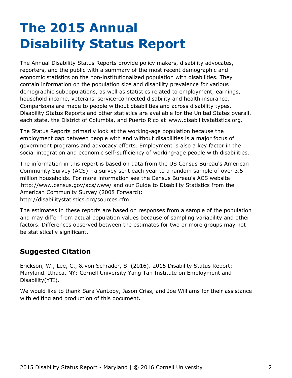## <span id="page-2-0"></span>**The 2015 Annual Disability Status Report**

The Annual Disability Status Reports provide policy makers, disability advocates, reporters, and the public with a summary of the most recent demographic and economic statistics on the non-institutionalized population with disabilities. They contain information on the population size and disability prevalence for various demographic subpopulations, as well as statistics related to employment, earnings, household income, veterans' service-connected disability and health insurance. Comparisons are made to people without disabilities and across disability types. Disability Status Reports and other statistics are available for the United States overall, each state, the District of Columbia, and Puerto Rico at [www.disabilitystatistics.org](http://www.disabilitystatistics.org).

The Status Reports primarily look at the working-age population because the employment gap between people with and without disabilities is a major focus of government programs and advocacy efforts. Employment is also a key factor in the social integration and economic self-sufficiency of working-age people with disabilities.

The information in this report is based on data from the US Census Bureau's American Community Survey (ACS) - a survey sent each year to a random sample of over 3.5 million households. For more information see the Census Bureau's ACS website <http://www.census.gov/acs/www/> and our Guide to Disability Statistics from the American Community Survey (2008 Forward): <http://disabilitystatistics.org/sources.cfm>.

The estimates in these reports are based on responses from a sample of the population and may differ from actual population values because of sampling variability and other factors. Differences observed between the estimates for two or more groups may not be statistically significant.

### **Suggested Citation**

Erickson, W., Lee, C., & von Schrader, S. (2016). 2015 Disability Status Report: Maryland. Ithaca, NY: Cornell University Yang Tan Institute on Employment and Disability(YTI).

We would like to thank Sara VanLooy, Jason Criss, and Joe Williams for their assistance with editing and production of this document.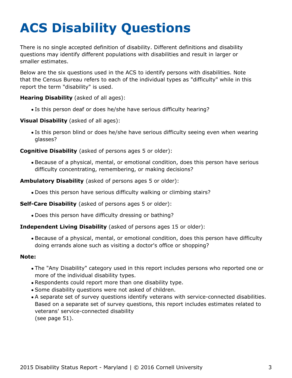# <span id="page-3-0"></span>**ACS Disability Questions**

There is no single accepted definition of disability. Different definitions and disability questions may identify different populations with disabilities and result in larger or smaller estimates.

Below are the six questions used in the ACS to identify persons with disabilities. Note that the Census Bureau refers to each of the individual types as "difficulty" while in this report the term "disability" is used.

**Hearing Disability** (asked of all ages):

Is this person deaf or does he/she have serious difficulty hearing?

**Visual Disability** (asked of all ages):

Is this person blind or does he/she have serious difficulty seeing even when wearing glasses?

**Cognitive Disability** (asked of persons ages 5 or older):

Because of a physical, mental, or emotional condition, does this person have serious difficulty concentrating, remembering, or making decisions?

**Ambulatory Disability** (asked of persons ages 5 or older):

Does this person have serious difficulty walking or climbing stairs?

**Self-Care Disability** (asked of persons ages 5 or older):

Does this person have difficulty dressing or bathing?

#### **Independent Living Disability** (asked of persons ages 15 or older):

Because of a physical, mental, or emotional condition, does this person have difficulty doing errands alone such as visiting a doctor's office or shopping?

#### **Note:**

- The "Any Disability" category used in this report includes persons who reported one or more of the individual disability types.
- Respondents could report more than one disability type.
- Some disability questions were not asked of children.
- A separate set of survey questions identify veterans with service-connected disabilities. Based on a separate set of survey questions, this report includes estimates related to veterans' service-connected disability (see page 51).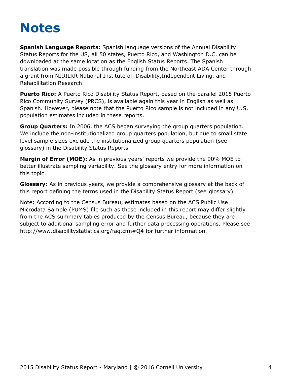## <span id="page-4-0"></span>**Notes**

**Spanish Language Reports:** Spanish language versions of the Annual Disability Status Reports for the US, all 50 states, Puerto Rico, and Washington D.C. can be downloaded at the same location as the English Status Reports. The Spanish translation was made possible through funding from the Northeast ADA Center through a grant from NIDILRR National Institute on Disability,Independent Living, and Rehabilitation Research

**Puerto Rico:** A Puerto Rico Disability Status Report, based on the parallel 2015 Puerto Rico Community Survey (PRCS), is available again this year in English as well as Spanish. However, please note that the Puerto Rico sample is not included in any U.S. population estimates included in these reports.

**Group Quarters:** In 2006, the ACS began surveying the group quarters population. We include the non-institutionalized group quarters population, but due to small state level sample sizes exclude the institutionalized group quarters population (see [glossary](#page-58-0)) in the Disability Status Reports.

**Margin of Error (MOE):** As in previous years' reports we provide the 90% MOE to better illustrate sampling variability. See the glossary entry for more information on this topic.

**Glossary:** As in previous years, we provide a comprehensive glossary at the back of this report defining the terms used in the Disability Status Report (see [glossary](#page-58-0)).

Note: According to the Census Bureau, estimates based on the ACS Public Use Microdata Sample (PUMS) file such as those included in this report may differ slightly from the ACS summary tables produced by the Census Bureau, because they are subject to additional sampling error and further data processing operations. Please see <http://www.disabilitystatistics.org/faq.cfm#Q4> for further information.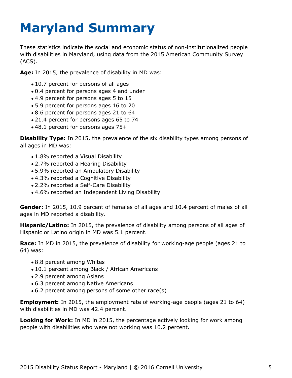# <span id="page-5-0"></span>**Maryland Summary**

These statistics indicate the social and economic status of non-institutionalized people with disabilities in Maryland, using data from the 2015 American Community Survey (ACS).

**Age:** In 2015, the prevalence of disability in MD was:

- 10.7 percent for persons of all ages
- 0.4 percent for persons ages 4 and under
- 4.9 percent for persons ages 5 to 15
- 5.9 percent for persons ages 16 to 20
- 8.6 percent for persons ages 21 to 64
- 21.4 percent for persons ages 65 to 74
- 48.1 percent for persons ages 75+

**Disability Type:** In 2015, the prevalence of the six disability types among persons of all ages in MD was:

- 1.8% reported a Visual Disability
- 2.7% reported a Hearing Disability
- 5.9% reported an Ambulatory Disability
- 4.3% reported a Cognitive Disability
- 2.2% reported a Self-Care Disability
- 4.6% reported an Independent Living Disability

**Gender:** In 2015, 10.9 percent of females of all ages and 10.4 percent of males of all ages in MD reported a disability.

**Hispanic/Latino:** In 2015, the prevalence of disability among persons of all ages of Hispanic or Latino origin in MD was 5.1 percent.

**Race:** In MD in 2015, the prevalence of disability for working-age people (ages 21 to 64) was:

- 8.8 percent among Whites
- 10.1 percent among Black / African Americans
- 2.9 percent among Asians
- 6.3 percent among Native Americans
- 6.2 percent among persons of some other race(s)

**Employment:** In 2015, the employment rate of working-age people (ages 21 to 64) with disabilities in MD was 42.4 percent.

**Looking for Work:** In MD in 2015, the percentage actively looking for work among people with disabilities who were not working was 10.2 percent.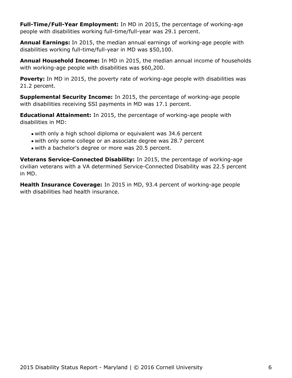**Full-Time/Full-Year Employment:** In MD in 2015, the percentage of working-age people with disabilities working full-time/full-year was 29.1 percent.

**Annual Earnings:** In 2015, the median annual earnings of working-age people with disabilities working full-time/full-year in MD was \$50,100.

**Annual Household Income:** In MD in 2015, the median annual income of households with working-age people with disabilities was \$60,200.

Poverty: In MD in 2015, the poverty rate of working-age people with disabilities was 21.2 percent.

**Supplemental Security Income:** In 2015, the percentage of working-age people with disabilities receiving SSI payments in MD was 17.1 percent.

**Educational Attainment:** In 2015, the percentage of working-age people with disabilities in MD:

- with only a high school diploma or equivalent was 34.6 percent
- with only some college or an associate degree was 28.7 percent
- with a bachelor's degree or more was 20.5 percent.

**Veterans Service-Connected Disability:** In 2015, the percentage of working-age civilian veterans with a VA determined Service-Connected Disability was 22.5 percent in MD.

**Health Insurance Coverage:** In 2015 in MD, 93.4 percent of working-age people with disabilities had health insurance.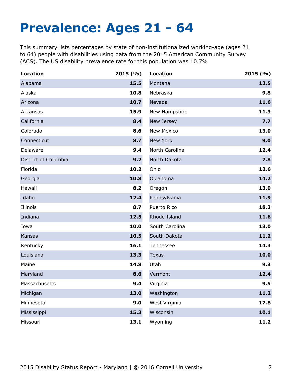## <span id="page-7-0"></span>**Prevalence: Ages 21 - 64**

This summary lists percentages by state of non-institutionalized working-age (ages 21 to 64) people with disabilities using data from the 2015 American Community Survey (ACS). The US disability prevalence rate for this population was 10.7%

| <b>Location</b>      | 2015(%) | <b>Location</b>   | 2015(%) |
|----------------------|---------|-------------------|---------|
| Alabama              | 15.5    | Montana           | 12.5    |
| Alaska               | 10.8    | Nebraska          | 9.8     |
| Arizona              | 10.7    | Nevada            | 11.6    |
| Arkansas             | 15.9    | New Hampshire     | 11.3    |
| California           | 8.4     | New Jersey        | 7.7     |
| Colorado             | 8.6     | <b>New Mexico</b> | 13.0    |
| Connecticut          | 8.7     | New York          | 9.0     |
| Delaware             | 9.4     | North Carolina    | 12.4    |
| District of Columbia | 9.2     | North Dakota      | 7.8     |
| Florida              | 10.2    | Ohio              | 12.6    |
| Georgia              | 10.8    | Oklahoma          | 14.2    |
| Hawaii               | 8.2     | Oregon            | 13.0    |
| Idaho                | 12.4    | Pennsylvania      | 11.9    |
| Illinois             | 8.7     | Puerto Rico       | 18.3    |
| Indiana              | 12.5    | Rhode Island      | 11.6    |
| Iowa                 | 10.0    | South Carolina    | 13.0    |
| Kansas               | 10.5    | South Dakota      | 11.2    |
| Kentucky             | 16.1    | Tennessee         | 14.3    |
| Louisiana            | 13.3    | <b>Texas</b>      | 10.0    |
| Maine                | 14.8    | Utah              | 9.3     |
| Maryland             | 8.6     | Vermont           | 12.4    |
| Massachusetts        | 9.4     | Virginia          | 9.5     |
| Michigan             | 13.0    | Washington        | 11.2    |
| Minnesota            | 9.0     | West Virginia     | 17.8    |
| Mississippi          | 15.3    | Wisconsin         | 10.1    |
| Missouri             | 13.1    | Wyoming           | 11.2    |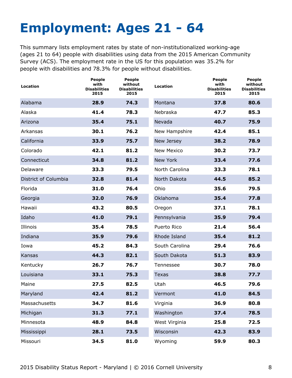# <span id="page-8-0"></span>**Employment: Ages 21 - 64**

This summary lists employment rates by state of non-institutionalized working-age (ages 21 to 64) people with disabilities using data from the 2015 American Community Survey (ACS). The employment rate in the US for this population was 35.2% for people with disabilities and 78.3% for people without disabilities.

| Location             | People<br>with<br><b>Disabilities</b><br>2015 | <b>People</b><br>without<br><b>Disabilities</b><br>2015 | <b>Location</b>   | <b>People</b><br>with<br><b>Disabilities</b><br>2015 | <b>People</b><br>without<br><b>Disabilities</b><br>2015 |
|----------------------|-----------------------------------------------|---------------------------------------------------------|-------------------|------------------------------------------------------|---------------------------------------------------------|
| Alabama              | 28.9                                          | 74.3                                                    | Montana           | 37.8                                                 | 80.6                                                    |
| Alaska               | 41.4                                          | 78.3                                                    | Nebraska          | 47.7                                                 | 85.3                                                    |
| Arizona              | 35.4                                          | 75.1                                                    | Nevada            | 40.7                                                 | 75.9                                                    |
| Arkansas             | 30.1                                          | 76.2                                                    | New Hampshire     | 42.4                                                 | 85.1                                                    |
| California           | 33.9                                          | 75.7                                                    | New Jersey        | 38.2                                                 | 78.9                                                    |
| Colorado             | 42.1                                          | 81.2                                                    | <b>New Mexico</b> | 30.2                                                 | 73.7                                                    |
| Connecticut          | 34.8                                          | 81.2                                                    | New York          | 33.4                                                 | 77.6                                                    |
| Delaware             | 33.3                                          | 79.5                                                    | North Carolina    | 33.3                                                 | 78.1                                                    |
| District of Columbia | 32.8                                          | 81.4                                                    | North Dakota      | 44.5                                                 | 85.2                                                    |
| Florida              | 31.0                                          | 76.4                                                    | Ohio              | 35.6                                                 | 79.5                                                    |
| Georgia              | 32.0                                          | 76.9                                                    | Oklahoma          | 35.4                                                 | 77.8                                                    |
| Hawaii               | 43.2                                          | 80.5                                                    | Oregon            | 37.1                                                 | 78.1                                                    |
| Idaho                | 41.0                                          | 79.1                                                    | Pennsylvania      | 35.9                                                 | 79.4                                                    |
| Illinois             | 35.4                                          | 78.5                                                    | Puerto Rico       | 21.4                                                 | 56.4                                                    |
| Indiana              | 35.9                                          | 79.6                                                    | Rhode Island      | 35.4                                                 | 81.2                                                    |
| Iowa                 | 45.2                                          | 84.3                                                    | South Carolina    | 29.4                                                 | 76.6                                                    |
| Kansas               | 44.3                                          | 82.1                                                    | South Dakota      | 51.3                                                 | 83.9                                                    |
| Kentucky             | 26.7                                          | 76.7                                                    | Tennessee         | 30.7                                                 | 78.0                                                    |
| Louisiana            | 33.1                                          | 75.3                                                    | <b>Texas</b>      | 38.8                                                 | 77.7                                                    |
| Maine                | 27.5                                          | 82.5                                                    | Utah              | 46.5                                                 | 79.6                                                    |
| Maryland             | 42.4                                          | 81.2                                                    | Vermont           | 41.0                                                 | 84.5                                                    |
| Massachusetts        | 34.7                                          | 81.6                                                    | Virginia          | 36.9                                                 | 80.8                                                    |
| Michigan             | 31.3                                          | 77.1                                                    | Washington        | 37.4                                                 | 78.5                                                    |
| Minnesota            | 48.9                                          | 84.8                                                    | West Virginia     | 25.8                                                 | 72.5                                                    |
| Mississippi          | 28.1                                          | 73.5                                                    | Wisconsin         | 42.3                                                 | 83.9                                                    |
| Missouri             | 34.5                                          | 81.0                                                    | Wyoming           | 59.9                                                 | 80.3                                                    |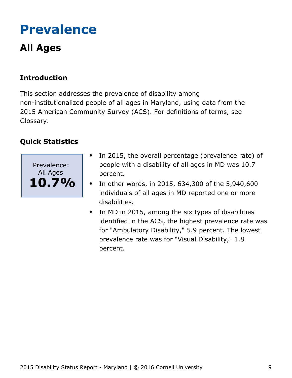# <span id="page-9-0"></span>**Prevalence**

## **All Ages**

## **Introduction**

This section addresses the prevalence of disability among non-institutionalized people of all ages in Maryland, using data from the 2015 American Community Survey (ACS). For definitions of terms, see Glossary.



- In 2015, the overall percentage (prevalence rate) of people with a disability of all ages in MD was 10.7 percent.
- In other words, in 2015, 634,300 of the 5,940,600  $\bullet$ individuals of all ages in MD reported one or more disabilities.
- In MD in 2015, among the six types of disabilities  $\bullet$ identified in the ACS, the highest prevalence rate was for "Ambulatory Disability," 5.9 percent. The lowest prevalence rate was for "Visual Disability," 1.8 percent.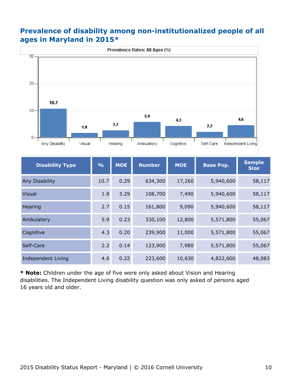#### **Prevalence of disability among non-institutionalized people of all ages in Maryland in 2015\***



| <b>Disability Type</b>    | $\frac{6}{6}$ | <b>MOE</b> | <b>Number</b> | <b>MOE</b> | <b>Base Pop.</b> | <b>Sample</b><br><b>Size</b> |
|---------------------------|---------------|------------|---------------|------------|------------------|------------------------------|
| Any Disability            | 10.7          | 0.29       | 634,300       | 17,260     | 5,940,600        | 58,117                       |
| <b>Visual</b>             | 1.8           | 3.29       | 108,700       | 7,490      | 5,940,600        | 58,117                       |
| Hearing                   | 2.7           | 0.15       | 161,800       | 9,090      | 5,940,600        | 58,117                       |
| Ambulatory                | 5.9           | 0.23       | 330,100       | 12,800     | 5,571,800        | 55,067                       |
| Cognitive                 | 4.3           | 0.20       | 239,900       | 11,000     | 5,571,800        | 55,067                       |
| Self-Care                 | 2.2           | 0.14       | 123,900       | 7,980      | 5,571,800        | 55,067                       |
| <b>Independent Living</b> | 4.6           | 0.22       | 223,600       | 10,630     | 4,822,600        | 48,083                       |

**\* Note:** Children under the age of five were only asked about Vision and Hearing disabilities. The Independent Living disability question was only asked of persons aged 16 years old and older.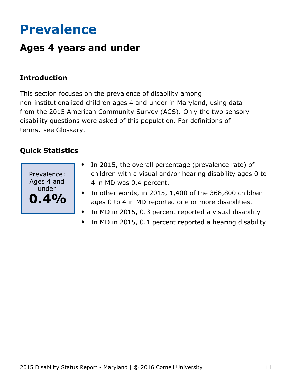## <span id="page-11-0"></span>**Prevalence**

## **Ages 4 years and under**

### **Introduction**

This section focuses on the prevalence of disability among non-institutionalized children ages 4 and under in Maryland, using data from the 2015 American Community Survey (ACS). Only the two sensory disability questions were asked of this population. For definitions of terms, see Glossary.



- In 2015, the overall percentage (prevalence rate) of  $\bullet$ children with a visual and/or hearing disability ages 0 to 4 in MD was 0.4 percent.
- In other words, in 2015, 1,400 of the 368,800 children  $\bullet$ ages 0 to 4 in MD reported one or more disabilities.
- In MD in 2015, 0.3 percent reported a visual disability  $\bullet$
- In MD in 2015, 0.1 percent reported a hearing disability  $\bullet$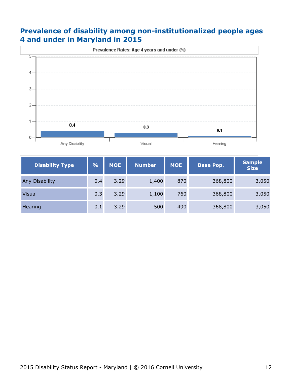### **Prevalence of disability among non-institutionalized people ages 4 and under in Maryland in 2015**



| <b>Disability Type</b> | $\frac{9}{6}$ | <b>MOE</b> | <b>Number</b> | <b>MOE</b> | <b>Base Pop.</b> | <b>Sample</b><br><b>Size</b> |
|------------------------|---------------|------------|---------------|------------|------------------|------------------------------|
| <b>Any Disability</b>  | 0.4           | 3.29       | 1,400         | 870        | 368,800          | 3,050                        |
| <b>Visual</b>          | 0.3           | 3.29       | 1,100         | 760        | 368,800          | 3,050                        |
| Hearing                | 0.1           | 3.29       | 500           | 490        | 368,800          | 3,050                        |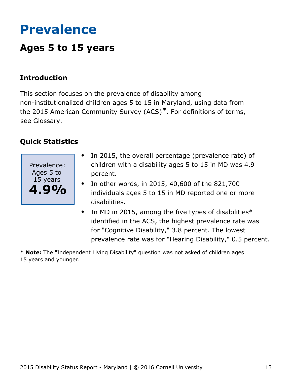## <span id="page-13-0"></span>**Prevalence**

## **Ages 5 to 15 years**

### **Introduction**

This section focuses on the prevalence of disability among non-institutionalized children ages 5 to 15 in Maryland, using data from the 2015 American Community Survey (ACS)\*. For definitions of terms, see Glossary.

### **Quick Statistics**



- In 2015, the overall percentage (prevalence rate) of  $\bullet$ children with a disability ages 5 to 15 in MD was 4.9 percent.
- In other words, in 2015, 40,600 of the 821,700 individuals ages 5 to 15 in MD reported one or more disabilities.
- In MD in 2015, among the five types of disabilities $*$  $\bullet$ identified in the ACS, the highest prevalence rate was for "Cognitive Disability," 3.8 percent. The lowest prevalence rate was for "Hearing Disability," 0.5 percent.

**\* Note:** The "Independent Living Disability" question was not asked of children ages 15 years and younger.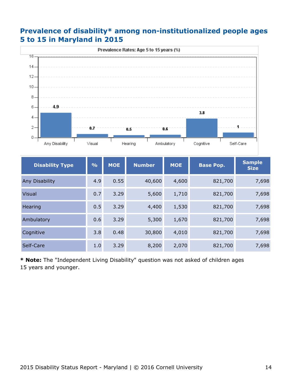### **Prevalence of disability\* among non-institutionalized people ages 5 to 15 in Maryland in 2015**



| <b>Disability Type</b> | O/O | <b>MOE</b> | <b>Number</b> | <b>MOE</b> | <b>Base Pop.</b> | <b>Sample</b><br><b>Size</b> |
|------------------------|-----|------------|---------------|------------|------------------|------------------------------|
| Any Disability         | 4.9 | 0.55       | 40,600        | 4,600      | 821,700          | 7,698                        |
| <b>Visual</b>          | 0.7 | 3.29       | 5,600         | 1,710      | 821,700          | 7,698                        |
| Hearing                | 0.5 | 3.29       | 4,400         | 1,530      | 821,700          | 7,698                        |
| Ambulatory             | 0.6 | 3.29       | 5,300         | 1,670      | 821,700          | 7,698                        |
| Cognitive              | 3.8 | 0.48       | 30,800        | 4,010      | 821,700          | 7,698                        |
| Self-Care              | 1.0 | 3.29       | 8,200         | 2,070      | 821,700          | 7,698                        |

**\* Note:** The "Independent Living Disability" question was not asked of children ages 15 years and younger.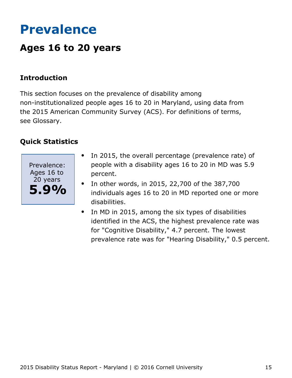## <span id="page-15-0"></span>**Prevalence**

## **Ages 16 to 20 years**

### **Introduction**

This section focuses on the prevalence of disability among non-institutionalized people ages 16 to 20 in Maryland, using data from the 2015 American Community Survey (ACS). For definitions of terms, see Glossary.



- In 2015, the overall percentage (prevalence rate) of  $\bullet$ people with a disability ages 16 to 20 in MD was 5.9 percent.
- In other words, in 2015, 22,700 of the 387,700  $\bullet$ individuals ages 16 to 20 in MD reported one or more disabilities.
- In MD in 2015, among the six types of disabilities  $\bullet$ identified in the ACS, the highest prevalence rate was for "Cognitive Disability," 4.7 percent. The lowest prevalence rate was for "Hearing Disability," 0.5 percent.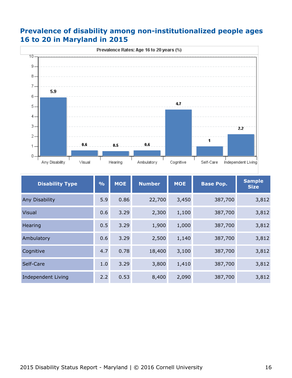### **Prevalence of disability among non-institutionalized people ages 16 to 20 in Maryland in 2015**



| <b>Disability Type</b>    | $\frac{9}{6}$ | <b>MOE</b> | <b>Number</b> | <b>MOE</b> | <b>Base Pop.</b> | <b>Sample</b><br><b>Size</b> |
|---------------------------|---------------|------------|---------------|------------|------------------|------------------------------|
| Any Disability            | 5.9           | 0.86       | 22,700        | 3,450      | 387,700          | 3,812                        |
| <b>Visual</b>             | 0.6           | 3.29       | 2,300         | 1,100      | 387,700          | 3,812                        |
| Hearing                   | 0.5           | 3.29       | 1,900         | 1,000      | 387,700          | 3,812                        |
| Ambulatory                | 0.6           | 3.29       | 2,500         | 1,140      | 387,700          | 3,812                        |
| Cognitive                 | 4.7           | 0.78       | 18,400        | 3,100      | 387,700          | 3,812                        |
| Self-Care                 | 1.0           | 3.29       | 3,800         | 1,410      | 387,700          | 3,812                        |
| <b>Independent Living</b> | 2.2           | 0.53       | 8,400         | 2,090      | 387,700          | 3,812                        |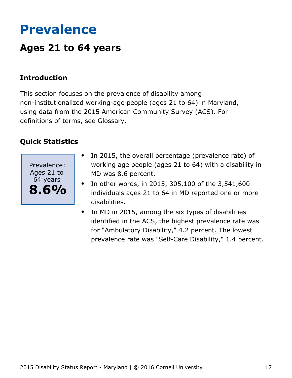## <span id="page-17-0"></span>**Prevalence**

## **Ages 21 to 64 years**

### **Introduction**

This section focuses on the prevalence of disability among non-institutionalized working-age people (ages 21 to 64) in Maryland, using data from the 2015 American Community Survey (ACS). For definitions of terms, see Glossary.



- In 2015, the overall percentage (prevalence rate) of  $\bullet$ working age people (ages 21 to 64) with a disability in MD was 8.6 percent.
- In other words, in 2015, 305,100 of the 3,541,600 individuals ages 21 to 64 in MD reported one or more disabilities.
- In MD in 2015, among the six types of disabilities  $\bullet$ identified in the ACS, the highest prevalence rate was for "Ambulatory Disability," 4.2 percent. The lowest prevalence rate was "Self-Care Disability," 1.4 percent.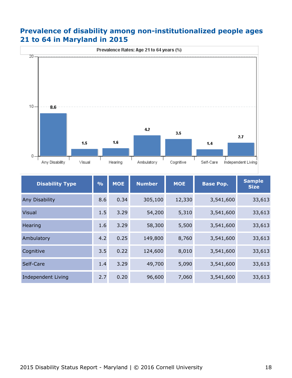### **Prevalence of disability among non-institutionalized people ages 21 to 64 in Maryland in 2015**



| <b>Disability Type</b>    | $\frac{9}{6}$<br><b>MOE</b><br><b>Number</b> |      | <b>MOE</b> | <b>Base Pop.</b> | <b>Sample</b><br><b>Size</b> |        |
|---------------------------|----------------------------------------------|------|------------|------------------|------------------------------|--------|
| Any Disability            | 8.6                                          | 0.34 | 305,100    | 12,330           | 3,541,600                    | 33,613 |
| <b>Visual</b>             | 1.5                                          | 3.29 | 54,200     | 5,310            | 3,541,600                    | 33,613 |
| Hearing                   | 1.6                                          | 3.29 | 58,300     | 5,500            | 3,541,600                    | 33,613 |
| Ambulatory                | 4.2                                          | 0.25 | 149,800    | 8,760            | 3,541,600                    | 33,613 |
| Cognitive                 | 3.5                                          | 0.22 | 124,600    | 8,010            | 3,541,600                    | 33,613 |
| Self-Care                 | 1.4                                          | 3.29 | 49,700     | 5,090            | 3,541,600                    | 33,613 |
| <b>Independent Living</b> | 2.7                                          | 0.20 | 96,600     | 7,060            | 3,541,600                    | 33,613 |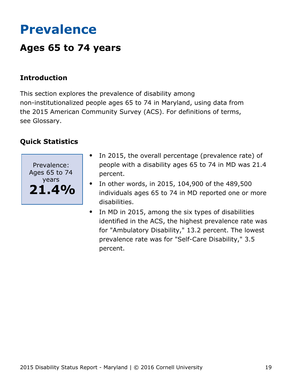## <span id="page-19-0"></span>**Prevalence**

## **Ages 65 to 74 years**

### **Introduction**

This section explores the prevalence of disability among non-institutionalized people ages 65 to 74 in Maryland, using data from the 2015 American Community Survey (ACS). For definitions of terms, see Glossary.



- In 2015, the overall percentage (prevalence rate) of people with a disability ages 65 to 74 in MD was 21.4 percent.
- In other words, in 2015, 104,900 of the 489,500  $\bullet$ individuals ages 65 to 74 in MD reported one or more disabilities.
- In MD in 2015, among the six types of disabilities  $\bullet$ identified in the ACS, the highest prevalence rate was for "Ambulatory Disability," 13.2 percent. The lowest prevalence rate was for "Self-Care Disability," 3.5 percent.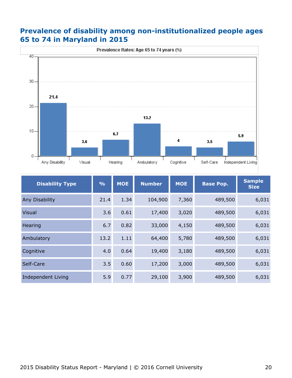### **Prevalence of disability among non-institutionalized people ages 65 to 74 in Maryland in 2015**



| <b>Disability Type</b>    | $\frac{0}{0}$ | <b>MOE</b> | <b>Number</b> | <b>MOE</b> | <b>Base Pop.</b> | <b>Sample</b><br><b>Size</b> |
|---------------------------|---------------|------------|---------------|------------|------------------|------------------------------|
| Any Disability            | 21.4          | 1.34       | 104,900       | 7,360      | 489,500          | 6,031                        |
| <b>Visual</b>             | 3.6           | 0.61       | 17,400        | 3,020      | 489,500          | 6,031                        |
| Hearing                   | 6.7           | 0.82       | 33,000        | 4,150      | 489,500          | 6,031                        |
| Ambulatory                | 13.2          | 1.11       | 64,400        | 5,780      | 489,500          | 6,031                        |
| Cognitive                 | 4.0           | 0.64       | 19,400        | 3,180      | 489,500          | 6,031                        |
| Self-Care                 | 3.5           | 0.60       | 17,200        | 3,000      | 489,500          | 6,031                        |
| <b>Independent Living</b> | 5.9           | 0.77       | 29,100        | 3,900      | 489,500          | 6,031                        |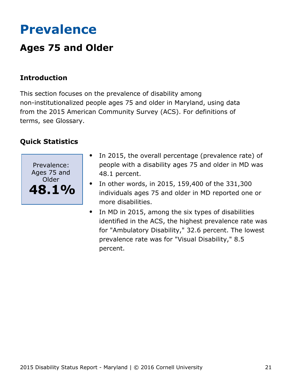## <span id="page-21-0"></span>**Prevalence**

## **Ages 75 and Older**

## **Introduction**

This section focuses on the prevalence of disability among non-institutionalized people ages 75 and older in Maryland, using data from the 2015 American Community Survey (ACS). For definitions of terms, see Glossary.



- In 2015, the overall percentage (prevalence rate) of  $\bullet$ people with a disability ages 75 and older in MD was 48.1 percent.
- In other words, in 2015, 159,400 of the 331,300  $\bullet$ individuals ages 75 and older in MD reported one or more disabilities.
- In MD in 2015, among the six types of disabilities  $\bullet$ identified in the ACS, the highest prevalence rate was for "Ambulatory Disability," 32.6 percent. The lowest prevalence rate was for "Visual Disability," 8.5 percent.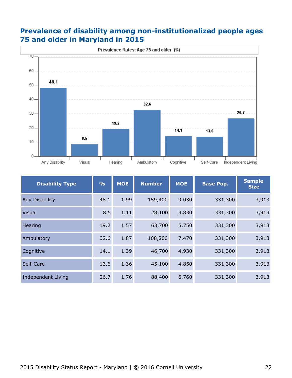### **Prevalence of disability among non-institutionalized people ages 75 and older in Maryland in 2015**



| <b>Disability Type</b> | $\frac{0}{0}$ | <b>MOE</b> | <b>Number</b> | <b>MOE</b> | <b>Base Pop.</b> | <b>Sample</b><br><b>Size</b> |  |
|------------------------|---------------|------------|---------------|------------|------------------|------------------------------|--|
| Any Disability         | 48.1          | 1.99       | 159,400       | 9,030      | 331,300          | 3,913                        |  |
| <b>Visual</b>          | 8.5           | 1.11       | 28,100        | 3,830      | 331,300          | 3,913                        |  |
| Hearing                | 19.2          | 1.57       | 63,700        | 5,750      | 331,300          | 3,913                        |  |
| Ambulatory             | 32.6          | 1.87       | 108,200       | 7,470      | 331,300          | 3,913                        |  |
| Cognitive              | 14.1          | 1.39       | 46,700        | 4,930      | 331,300          | 3,913                        |  |
| Self-Care              | 13.6          | 1.36       | 45,100        | 4,850      | 331,300          | 3,913                        |  |
| Independent Living     | 26.7          | 1.76       | 88,400        | 6,760      | 331,300          | 3,913                        |  |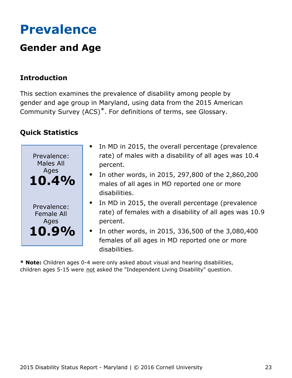## <span id="page-23-0"></span>**Prevalence**

## **Gender and Age**

## **Introduction**

This section examines the prevalence of disability among people by gender and age group in Maryland, using data from the 2015 American Community Survey (ACS)\*. For definitions of terms, see Glossary.

## **Quick Statistics**

| Prevalence:<br><b>Males All</b>          | In MD in 2015, the overall percentage (prevalence<br>rate) of males with a disability of all ages was 10.4<br>percent.            |
|------------------------------------------|-----------------------------------------------------------------------------------------------------------------------------------|
| Ages<br><b>10.4%</b>                     | In other words, in 2015, 297,800 of the 2,860,200<br>$\bullet$<br>males of all ages in MD reported one or more<br>disabilities.   |
| Prevalence:<br><b>Female All</b><br>Ages | • In MD in 2015, the overall percentage (prevalence<br>rate) of females with a disability of all ages was 10.9<br>percent.        |
| 10.9%                                    | In other words, in 2015, 336,500 of the 3,080,400<br>$\bullet$<br>females of all ages in MD reported one or more<br>disabilities. |

**\* Note:** Children ages 0-4 were only asked about visual and hearing disabilities, children ages 5-15 were not asked the "Independent Living Disability" question.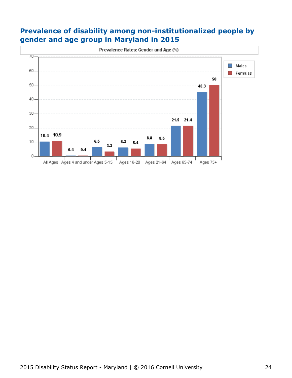### **Prevalence of disability among non-institutionalized people by gender and age group in Maryland in 2015**

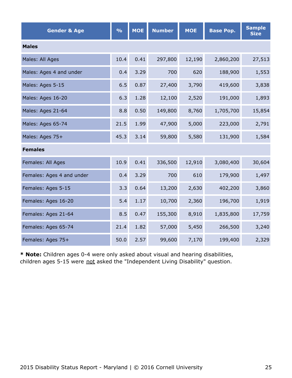| <b>Gender &amp; Age</b>   | $\frac{9}{6}$ | <b>MOE</b> | <b>Number</b> | <b>MOE</b> | <b>Base Pop.</b> | <b>Sample</b><br><b>Size</b> |  |  |  |  |  |
|---------------------------|---------------|------------|---------------|------------|------------------|------------------------------|--|--|--|--|--|
| <b>Males</b>              |               |            |               |            |                  |                              |  |  |  |  |  |
| Males: All Ages           | 10.4          | 0.41       | 297,800       | 12,190     | 2,860,200        | 27,513                       |  |  |  |  |  |
| Males: Ages 4 and under   | 0.4           | 3.29       | 700           | 620        | 188,900          | 1,553                        |  |  |  |  |  |
| Males: Ages 5-15          | 6.5           | 0.87       | 27,400        | 3,790      | 419,600          | 3,838                        |  |  |  |  |  |
| Males: Ages 16-20         | 6.3           | 1.28       | 12,100        | 2,520      | 191,000          | 1,893                        |  |  |  |  |  |
| Males: Ages 21-64         | 8.8           | 0.50       | 149,800       | 8,760      | 1,705,700        | 15,854                       |  |  |  |  |  |
| Males: Ages 65-74         | 21.5          | 1.99       | 47,900        | 5,000      | 223,000          | 2,791                        |  |  |  |  |  |
| Males: Ages 75+           | 45.3          | 3.14       | 59,800        | 5,580      | 131,900          | 1,584                        |  |  |  |  |  |
| <b>Females</b>            |               |            |               |            |                  |                              |  |  |  |  |  |
| Females: All Ages         | 10.9          | 0.41       | 336,500       | 12,910     | 3,080,400        | 30,604                       |  |  |  |  |  |
| Females: Ages 4 and under | 0.4           | 3.29       | 700           | 610        | 179,900          | 1,497                        |  |  |  |  |  |
| Females: Ages 5-15        | 3.3           | 0.64       | 13,200        | 2,630      | 402,200          | 3,860                        |  |  |  |  |  |
| Females: Ages 16-20       | 5.4           | 1.17       | 10,700        | 2,360      | 196,700          | 1,919                        |  |  |  |  |  |
| Females: Ages 21-64       | 8.5           | 0.47       | 155,300       | 8,910      | 1,835,800        | 17,759                       |  |  |  |  |  |
| Females: Ages 65-74       | 21.4          | 1.82       | 57,000        | 5,450      | 266,500          | 3,240                        |  |  |  |  |  |
| Females: Ages 75+         | 50.0          | 2.57       | 99,600        | 7,170      | 199,400          | 2,329                        |  |  |  |  |  |

**\* Note:** Children ages 0-4 were only asked about visual and hearing disabilities, children ages 5-15 were not asked the "Independent Living Disability" question.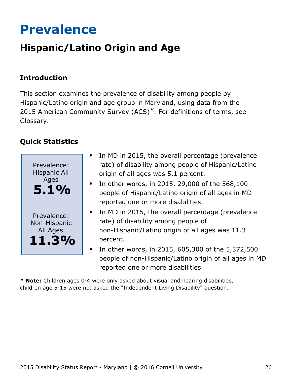## <span id="page-26-0"></span>**Prevalence**

## **Hispanic/Latino Origin and Age**

## **Introduction**

This section examines the prevalence of disability among people by Hispanic/Latino origin and age group in Maryland, using data from the 2015 American Community Survey (ACS)<sup>\*</sup>. For definitions of terms, see Glossary.

## **Quick Statistics**



- In MD in 2015, the overall percentage (prevalence rate) of disability among people of Hispanic/Latino origin of all ages was 5.1 percent.
- In other words, in 2015, 29,000 of the 568,100 people of Hispanic/Latino origin of all ages in MD reported one or more disabilities.
- In MD in 2015, the overall percentage (prevalence rate) of disability among people of non-Hispanic/Latino origin of all ages was 11.3 percent.
- In other words, in 2015, 605,300 of the 5,372,500 people of non-Hispanic/Latino origin of all ages in MD reported one or more disabilities.

**\* Note:** Children ages 0-4 were only asked about visual and hearing disabilities, children age 5-15 were not asked the "Independent Living Disability" question.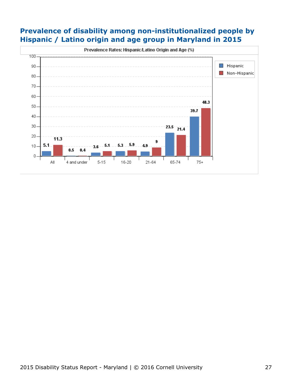### **Prevalence of disability among non-institutionalized people by Hispanic / Latino origin and age group in Maryland in 2015**

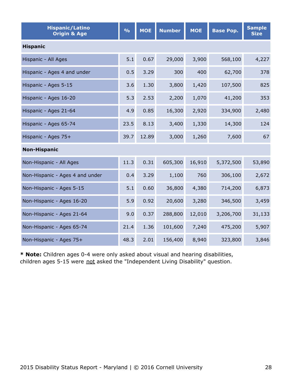| <b>Hispanic/Latino</b><br><b>Origin &amp; Age</b> | $\frac{0}{0}$ | <b>MOE</b> | <b>Number</b> | <b>MOE</b> | <b>Base Pop.</b> | <b>Sample</b><br><b>Size</b> |  |  |  |  |
|---------------------------------------------------|---------------|------------|---------------|------------|------------------|------------------------------|--|--|--|--|
| <b>Hispanic</b>                                   |               |            |               |            |                  |                              |  |  |  |  |
| Hispanic - All Ages                               | 5.1           | 0.67       | 29,000        | 3,900      | 568,100          | 4,227                        |  |  |  |  |
| Hispanic - Ages 4 and under                       | 0.5           | 3.29       | 300           | 400        | 62,700           | 378                          |  |  |  |  |
| Hispanic - Ages 5-15                              | 3.6           | 1.30       | 3,800         | 1,420      | 107,500          | 825                          |  |  |  |  |
| Hispanic - Ages 16-20                             | 5.3           | 2.53       | 2,200         | 1,070      | 41,200           | 353                          |  |  |  |  |
| Hispanic - Ages 21-64                             | 4.9           | 0.85       | 16,300        | 2,920      | 334,900          | 2,480                        |  |  |  |  |
| Hispanic - Ages 65-74                             | 23.5          | 8.13       | 3,400         | 1,330      | 14,300           | 124                          |  |  |  |  |
| Hispanic - Ages 75+                               | 39.7          | 12.89      | 3,000         | 1,260      | 7,600            | 67                           |  |  |  |  |
| <b>Non-Hispanic</b>                               |               |            |               |            |                  |                              |  |  |  |  |
| Non-Hispanic - All Ages                           | 11.3          | 0.31       | 605,300       | 16,910     | 5,372,500        | 53,890                       |  |  |  |  |
| Non-Hispanic - Ages 4 and under                   | 0.4           | 3.29       | 1,100         | 760        | 306,100          | 2,672                        |  |  |  |  |
| Non-Hispanic - Ages 5-15                          | 5.1           | 0.60       | 36,800        | 4,380      | 714,200          | 6,873                        |  |  |  |  |
| Non-Hispanic - Ages 16-20                         | 5.9           | 0.92       | 20,600        | 3,280      | 346,500          | 3,459                        |  |  |  |  |
| Non-Hispanic - Ages 21-64                         | 9.0           | 0.37       | 288,800       | 12,010     | 3,206,700        | 31,133                       |  |  |  |  |
| Non-Hispanic - Ages 65-74                         | 21.4          | 1.36       | 101,600       | 7,240      | 475,200          | 5,907                        |  |  |  |  |
| Non-Hispanic - Ages 75+                           | 48.3          | 2.01       | 156,400       | 8,940      | 323,800          | 3,846                        |  |  |  |  |

**\* Note:** Children ages 0-4 were only asked about visual and hearing disabilities, children ages 5-15 were not asked the "Independent Living Disability" question.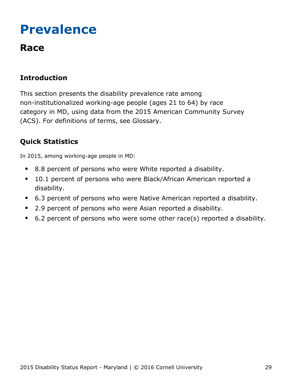## <span id="page-29-0"></span>**Prevalence**

## **Race**

## **Introduction**

This section presents the disability prevalence rate among non-institutionalized working-age people (ages 21 to 64) by race category in MD, using data from the 2015 American Community Survey (ACS). For definitions of terms, see Glossary.

## **Quick Statistics**

In 2015, among working-age people in MD:

- 8.8 percent of persons who were White reported a disability.
- 10.1 percent of persons who were Black/African American reported a  $\bullet$ disability.
- 6.3 percent of persons who were Native American reported a disability.
- 2.9 percent of persons who were Asian reported a disability.
- 6.2 percent of persons who were some other race(s) reported a disability.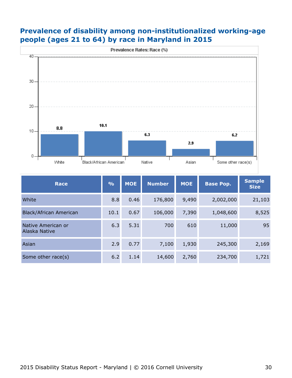### **Prevalence of disability among non-institutionalized working-age people (ages 21 to 64) by race in Maryland in 2015**



| <b>Race</b>                         | $\frac{O}{O}$ | <b>MOE</b> | <b>Number</b> | <b>MOE</b> | <b>Base Pop.</b> | <b>Sample</b><br><b>Size</b> |
|-------------------------------------|---------------|------------|---------------|------------|------------------|------------------------------|
| White                               | 8.8           | 0.46       | 176,800       | 9,490      | 2,002,000        | 21,103                       |
| Black/African American              | 10.1          | 0.67       | 106,000       | 7,390      | 1,048,600        | 8,525                        |
| Native American or<br>Alaska Native | 6.3           | 5.31       | 700           | 610        | 11,000           | 95                           |
| Asian                               | 2.9           | 0.77       | 7,100         | 1,930      | 245,300          | 2,169                        |
| Some other race(s)                  | 6.2           | 1.14       | 14,600        | 2,760      | 234,700          | 1,721                        |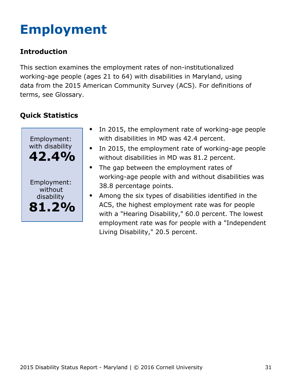# <span id="page-31-0"></span>**Employment**

## **Introduction**

This section examines the employment rates of non-institutionalized working-age people (ages 21 to 64) with disabilities in Maryland, using data from the 2015 American Community Survey (ACS). For definitions of terms, see Glossary.



- $\bullet$ In 2015, the employment rate of working-age people with disabilities in MD was 42.4 percent.
- In 2015, the employment rate of working-age people  $\bullet$ without disabilities in MD was 81.2 percent.
- $\bullet$ The gap between the employment rates of working-age people with and without disabilities was 38.8 percentage points.
- Among the six types of disabilities identified in the ACS, the highest employment rate was for people with a "Hearing Disability," 60.0 percent. The lowest employment rate was for people with a "Independent Living Disability," 20.5 percent.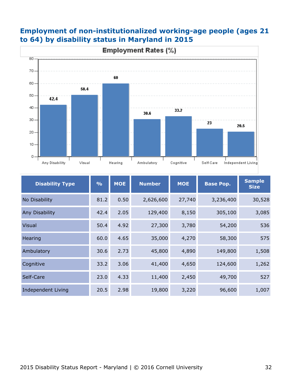

### **Employment of non-institutionalized working-age people (ages 21 to 64) by disability status in Maryland in 2015**

| <b>Disability Type</b>    | $\frac{9}{6}$ | <b>MOE</b> | <b>Number</b> | <b>MOE</b><br><b>Base Pop.</b> |           | <b>Sample</b><br><b>Size</b> |
|---------------------------|---------------|------------|---------------|--------------------------------|-----------|------------------------------|
| No Disability             | 81.2          | 0.50       | 2,626,600     | 27,740                         | 3,236,400 | 30,528                       |
| Any Disability            | 42.4          | 2.05       | 129,400       | 8,150                          | 305,100   | 3,085                        |
| <b>Visual</b>             | 50.4          | 4.92       | 27,300        | 3,780                          | 54,200    | 536                          |
| Hearing                   | 60.0          | 4.65       | 35,000        | 4,270                          | 58,300    | 575                          |
| Ambulatory                | 30.6          | 2.73       | 45,800        | 4,890                          | 149,800   | 1,508                        |
| Cognitive                 | 33.2          | 3.06       | 41,400        | 4,650                          | 124,600   | 1,262                        |
| Self-Care                 | 23.0          | 4.33       | 11,400        | 2,450                          | 49,700    | 527                          |
| <b>Independent Living</b> | 20.5          | 2.98       | 19,800        | 3,220                          | 96,600    | 1,007                        |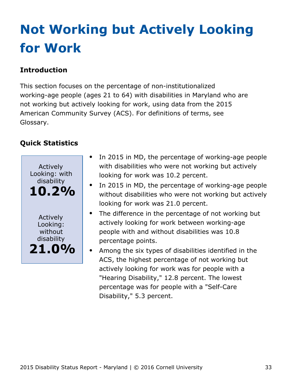# <span id="page-33-0"></span>**Not Working but Actively Looking for Work**

## **Introduction**

This section focuses on the percentage of non-institutionalized working-age people (ages 21 to 64) with disabilities in Maryland who are not working but actively looking for work, using data from the 2015 American Community Survey (ACS). For definitions of terms, see Glossary.



- In 2015 in MD, the percentage of working-age people with disabilities who were not working but actively looking for work was 10.2 percent.
- In 2015 in MD, the percentage of working-age people without disabilities who were not working but actively looking for work was 21.0 percent.
- $\bullet$ The difference in the percentage of not working but actively looking for work between working-age people with and without disabilities was 10.8 percentage points.
	- Among the six types of disabilities identified in the ACS, the highest percentage of not working but actively looking for work was for people with a "Hearing Disability," 12.8 percent. The lowest percentage was for people with a "Self-Care Disability," 5.3 percent.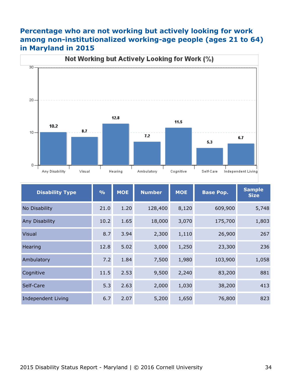### **Percentage who are not working but actively looking for work among non-institutionalized working-age people (ages 21 to 64) in Maryland in 2015**



| <b>Disability Type</b> | $\frac{9}{6}$ | <b>MOE</b> | <b>MOE</b><br><b>Number</b> |       | <b>Base Pop.</b> | <b>Sample</b><br><b>Size</b> |
|------------------------|---------------|------------|-----------------------------|-------|------------------|------------------------------|
| No Disability          | 21.0          | 1.20       | 128,400                     | 8,120 | 609,900          | 5,748                        |
| Any Disability         | 10.2          | 1.65       | 18,000                      | 3,070 | 175,700          | 1,803                        |
| <b>Visual</b>          | 8.7           | 3.94       | 2,300                       | 1,110 | 26,900           | 267                          |
| Hearing                | 12.8          | 5.02       | 3,000                       | 1,250 | 23,300           | 236                          |
| Ambulatory             | 7.2           | 1.84       | 7,500                       | 1,980 | 103,900          | 1,058                        |
| Cognitive              | 11.5          | 2.53       | 9,500                       | 2,240 | 83,200           | 881                          |
| Self-Care              | 5.3           | 2.63       | 2,000                       | 1,030 | 38,200           | 413                          |
| Independent Living     | 6.7           | 2.07       | 5,200                       | 1,650 | 76,800           | 823                          |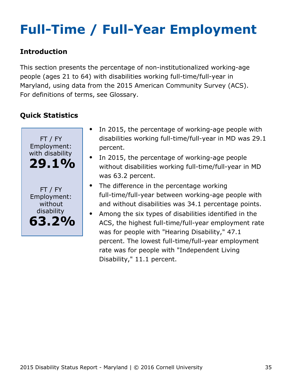# <span id="page-35-0"></span>**Full-Time / Full-Year Employment**

### **Introduction**

This section presents the percentage of non-institutionalized working-age people (ages 21 to 64) with disabilities working full-time/full-year in Maryland, using data from the 2015 American Community Survey (ACS). For definitions of terms, see Glossary.



- In 2015, the percentage of working-age people with disabilities working full-time/full-year in MD was 29.1 percent.
- In 2015, the percentage of working-age people without disabilities working full-time/full-year in MD was 63.2 percent.
- The difference in the percentage working full-time/full-year between working-age people with and without disabilities was 34.1 percentage points.
- Among the six types of disabilities identified in the  $\bullet$ ACS, the highest full-time/full-year employment rate was for people with "Hearing Disability," 47.1 percent. The lowest full-time/full-year employment rate was for people with "Independent Living Disability," 11.1 percent.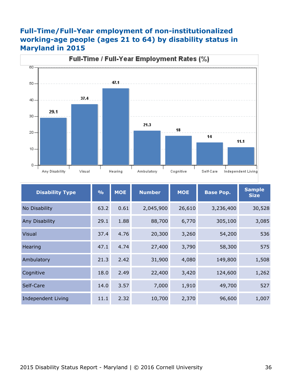#### **Full-Time/Full-Year employment of non-institutionalized working-age people (ages 21 to 64) by disability status in Maryland in 2015**



| <b>Disability Type</b>    | $\frac{9}{6}$ | <b>MOE</b> | <b>Number</b> | <b>MOE</b> | <b>Base Pop.</b> | <b>Sample</b><br><b>Size</b> |
|---------------------------|---------------|------------|---------------|------------|------------------|------------------------------|
| No Disability             | 63.2          | 0.61       | 2,045,900     | 26,610     | 3,236,400        | 30,528                       |
| Any Disability            | 29.1          | 1.88       | 88,700        | 6,770      | 305,100          | 3,085                        |
| <b>Visual</b>             | 37.4          | 4.76       | 20,300        | 3,260      | 54,200           | 536                          |
| Hearing                   | 47.1          | 4.74       | 27,400        | 3,790      | 58,300           | 575                          |
| Ambulatory                | 21.3          | 2.42       | 31,900        | 4,080      | 149,800          | 1,508                        |
| Cognitive                 | 18.0          | 2.49       | 22,400        | 3,420      | 124,600          | 1,262                        |
| Self-Care                 | 14.0          | 3.57       | 7,000         | 1,910      | 49,700           | 527                          |
| <b>Independent Living</b> | 11.1          | 2.32       | 10,700        | 2,370      | 96,600           | 1,007                        |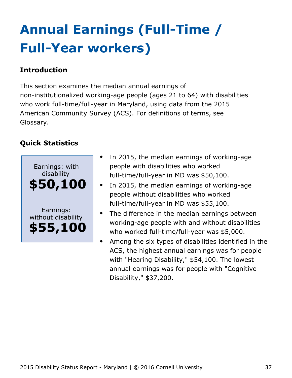# <span id="page-37-0"></span>**Annual Earnings (Full-Time / Full-Year workers)**

### **Introduction**

This section examines the median annual earnings of non-institutionalized working-age people (ages 21 to 64) with disabilities who work full-time/full-year in Maryland, using data from the 2015 American Community Survey (ACS). For definitions of terms, see Glossary.



- In 2015, the median earnings of working-age people with disabilities who worked full-time/full-year in MD was \$50,100.
- In 2015, the median earnings of working-age people without disabilities who worked full-time/full-year in MD was \$55,100.
- The difference in the median earnings between working-age people with and without disabilities who worked full-time/full-year was \$5,000.
- Among the six types of disabilities identified in the ACS, the highest annual earnings was for people with "Hearing Disability," \$54,100. The lowest annual earnings was for people with "Cognitive Disability," \$37,200.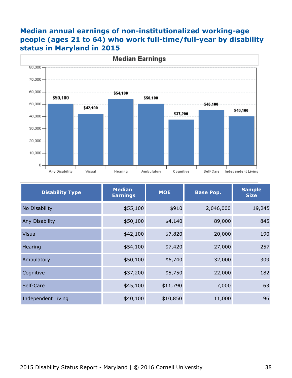#### **Median annual earnings of non-institutionalized working-age people (ages 21 to 64) who work full-time/full-year by disability status in Maryland in 2015**



| <b>Disability Type</b>    | <b>Median</b><br><b>Earnings</b> | <b>MOE</b> | <b>Base Pop.</b> | <b>Sample</b><br><b>Size</b> |
|---------------------------|----------------------------------|------------|------------------|------------------------------|
| No Disability             | \$55,100                         | \$910      | 2,046,000        | 19,245                       |
| Any Disability            | \$50,100                         | \$4,140    | 89,000           | 845                          |
| <b>Visual</b>             | \$42,100                         | \$7,820    | 20,000           | 190                          |
| Hearing                   | \$54,100                         | \$7,420    | 27,000           | 257                          |
| Ambulatory                | \$50,100                         | \$6,740    | 32,000           | 309                          |
| Cognitive                 | \$37,200                         | \$5,750    | 22,000           | 182                          |
| Self-Care                 | \$45,100                         | \$11,790   | 7,000            | 63                           |
| <b>Independent Living</b> | \$40,100                         | \$10,850   | 11,000           | 96                           |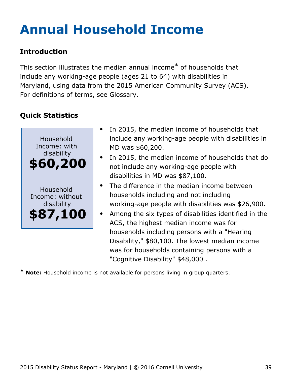# <span id="page-39-0"></span>**Annual Household Income**

## **Introduction**

This section illustrates the median annual income\* of households that include any working-age people (ages 21 to 64) with disabilities in Maryland, using data from the 2015 American Community Survey (ACS). For definitions of terms, see Glossary.

## **Quick Statistics**



- In 2015, the median income of households that include any working-age people with disabilities in MD was \$60,200.
- In 2015, the median income of households that do not include any working-age people with disabilities in MD was \$87,100.
- The difference in the median income between households including and not including working-age people with disabilities was \$26,900.
- Among the six types of disabilities identified in the ACS, the highest median income was for households including persons with a "Hearing Disability," \$80,100. The lowest median income was for households containing persons with a "Cognitive Disability" \$48,000 .

**\* Note:** Household income is not available for persons living in group quarters.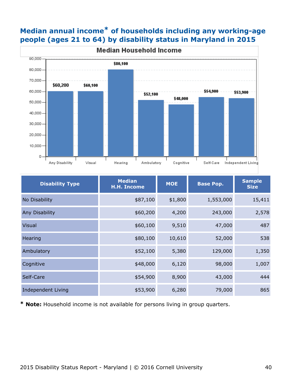## **Median annual income\* of households including any working-age people (ages 21 to 64) by disability status in Maryland in 2015**



| <b>Disability Type</b> | <b>Median</b><br><b>H.H. Income</b> | <b>MOE</b> | <b>Base Pop.</b> | <b>Sample</b><br><b>Size</b> |
|------------------------|-------------------------------------|------------|------------------|------------------------------|
| No Disability          | \$87,100                            | \$1,800    | 1,553,000        | 15,411                       |
| Any Disability         | \$60,200                            | 4,200      | 243,000          | 2,578                        |
| <b>Visual</b>          | \$60,100                            | 9,510      | 47,000           | 487                          |
| Hearing                | \$80,100                            | 10,610     | 52,000           | 538                          |
| Ambulatory             | \$52,100                            | 5,380      | 129,000          | 1,350                        |
| Cognitive              | \$48,000                            | 6,120      | 98,000           | 1,007                        |
| Self-Care              | \$54,900                            | 8,900      | 43,000           | 444                          |
| Independent Living     | \$53,900                            | 6,280      | 79,000           | 865                          |

**\* Note:** Household income is not available for persons living in group quarters.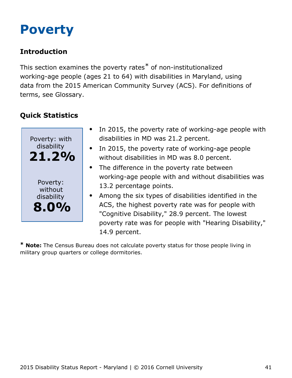## <span id="page-41-0"></span>**Poverty**

## **Introduction**

This section examines the poverty rates\* of non-institutionalized working-age people (ages 21 to 64) with disabilities in Maryland, using data from the 2015 American Community Survey (ACS). For definitions of terms, see Glossary.

## **Quick Statistics**



- In 2015, the poverty rate of working-age people with disabilities in MD was 21.2 percent.
- In 2015, the poverty rate of working-age people without disabilities in MD was 8.0 percent.
- The difference in the poverty rate between working-age people with and without disabilities was 13.2 percentage points.
- Among the six types of disabilities identified in the ACS, the highest poverty rate was for people with "Cognitive Disability," 28.9 percent. The lowest poverty rate was for people with "Hearing Disability," 14.9 percent.

**\* Note:** The Census Bureau does not calculate poverty status for those people living in military group quarters or college dormitories.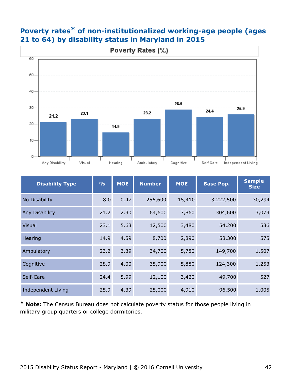

## **Poverty rates\* of non-institutionalized working-age people (ages 21 to 64) by disability status in Maryland in 2015**

| <b>Disability Type</b>    | $\frac{0}{0}$ | <b>MOE</b> | <b>Number</b> | <b>MOE</b> | <b>Base Pop.</b> | <b>Sample</b><br><b>Size</b> |
|---------------------------|---------------|------------|---------------|------------|------------------|------------------------------|
| No Disability             | 8.0           | 0.47       | 256,600       | 15,410     | 3,222,500        | 30,294                       |
| <b>Any Disability</b>     | 21.2          | 2.30       | 64,600        | 7,860      | 304,600          | 3,073                        |
| <b>Visual</b>             | 23.1          | 5.63       | 12,500        | 3,480      | 54,200           | 536                          |
| Hearing                   | 14.9          | 4.59       | 8,700         | 2,890      | 58,300           | 575                          |
| Ambulatory                | 23.2          | 3.39       | 34,700        | 5,780      | 149,700          | 1,507                        |
| Cognitive                 | 28.9          | 4.00       | 35,900        | 5,880      | 124,300          | 1,253                        |
| Self-Care                 | 24.4          | 5.99       | 12,100        | 3,420      | 49,700           | 527                          |
| <b>Independent Living</b> | 25.9          | 4.39       | 25,000        | 4,910      | 96,500           | 1,005                        |

**\* Note:** The Census Bureau does not calculate poverty status for those people living in military group quarters or college dormitories.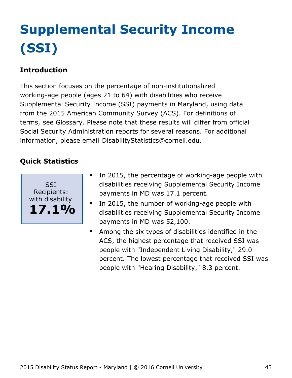# <span id="page-43-0"></span>**Supplemental Security Income (SSI)**

## **Introduction**

This section focuses on the percentage of non-institutionalized working-age people (ages 21 to 64) with disabilities who receive Supplemental Security Income (SSI) payments in Maryland, using data from the 2015 American Community Survey (ACS). For definitions of terms, see Glossary. Please note that these results will differ from official Social Security Administration reports for several reasons. For additional information, please email [DisabilityStatistics@cornell.edu](mailto:DisabilityStatistics@cornell.edu).



- In 2015, the percentage of working-age people with disabilities receiving Supplemental Security Income payments in MD was 17.1 percent.
- In 2015, the number of working-age people with  $\bullet$ disabilities receiving Supplemental Security Income payments in MD was 52,100.
- Among the six types of disabilities identified in the  $\bullet$ ACS, the highest percentage that received SSI was people with "Independent Living Disability," 29.0 percent. The lowest percentage that received SSI was people with "Hearing Disability," 8.3 percent.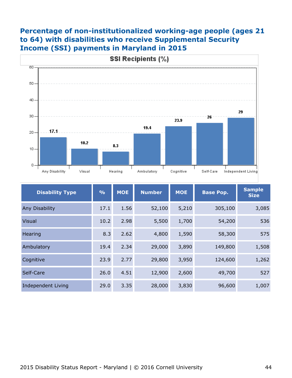### **Percentage of non-institutionalized working-age people (ages 21 to 64) with disabilities who receive Supplemental Security Income (SSI) payments in Maryland in 2015**



| <b>Disability Type</b>    | $\frac{9}{6}$ | <b>MOE</b> | <b>MOE</b><br><b>Number</b> |       | <b>Base Pop.</b> | <b>Sample</b><br><b>Size</b> |
|---------------------------|---------------|------------|-----------------------------|-------|------------------|------------------------------|
| Any Disability            | 17.1          | 1.56       | 52,100                      | 5,210 | 305,100          | 3,085                        |
| <b>Visual</b>             | 10.2          | 2.98       | 5,500                       | 1,700 | 54,200           | 536                          |
| Hearing                   | 8.3           | 2.62       | 4,800                       | 1,590 | 58,300           | 575                          |
| Ambulatory                | 19.4          | 2.34       | 29,000                      | 3,890 | 149,800          | 1,508                        |
| Cognitive                 | 23.9          | 2.77       | 29,800                      | 3,950 | 124,600          | 1,262                        |
| Self-Care                 | 26.0          | 4.51       | 12,900                      | 2,600 | 49,700           | 527                          |
| <b>Independent Living</b> | 29.0          | 3.35       | 28,000                      | 3,830 | 96,600           | 1,007                        |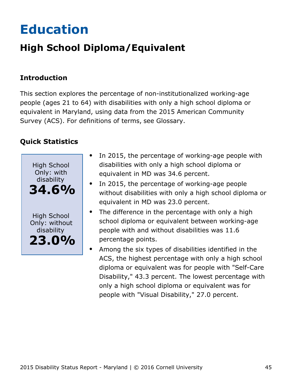# <span id="page-45-0"></span>**Education**

## **High School Diploma/Equivalent**

## **Introduction**

This section explores the percentage of non-institutionalized working-age people (ages 21 to 64) with disabilities with only a high school diploma or equivalent in Maryland, using data from the 2015 American Community Survey (ACS). For definitions of terms, see Glossary.



- In 2015, the percentage of working-age people with  $\bullet$ disabilities with only a high school diploma or equivalent in MD was 34.6 percent.
- In 2015, the percentage of working-age people without disabilities with only a high school diploma or equivalent in MD was 23.0 percent.
- The difference in the percentage with only a high school diploma or equivalent between working-age people with and without disabilities was 11.6 percentage points.
- Among the six types of disabilities identified in the ACS, the highest percentage with only a high school diploma or equivalent was for people with "Self-Care Disability," 43.3 percent. The lowest percentage with only a high school diploma or equivalent was for people with "Visual Disability," 27.0 percent.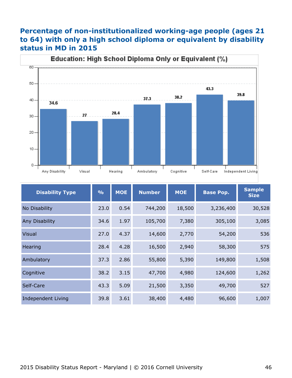### **Percentage of non-institutionalized working-age people (ages 21 to 64) with only a high school diploma or equivalent by disability status in MD in 2015**



| <b>Disability Type</b> | $\frac{9}{6}$ | <b>MOE</b> | <b>Number</b> | <b>MOE</b> | <b>Base Pop.</b> | <b>Sample</b><br><b>Size</b> |
|------------------------|---------------|------------|---------------|------------|------------------|------------------------------|
| No Disability          | 23.0          | 0.54       | 744,200       | 18,500     | 3,236,400        | 30,528                       |
| Any Disability         | 34.6          | 1.97       | 105,700       | 7,380      | 305,100          | 3,085                        |
| <b>Visual</b>          | 27.0          | 4.37       | 14,600        | 2,770      | 54,200           | 536                          |
| Hearing                | 28.4          | 4.28       | 16,500        | 2,940      | 58,300           | 575                          |
| Ambulatory             | 37.3          | 2.86       | 55,800        | 5,390      | 149,800          | 1,508                        |
| Cognitive              | 38.2          | 3.15       | 47,700        | 4,980      | 124,600          | 1,262                        |
| Self-Care              | 43.3          | 5.09       | 21,500        | 3,350      | 49,700           | 527                          |
| Independent Living     | 39.8          | 3.61       | 38,400        | 4,480      | 96,600           | 1,007                        |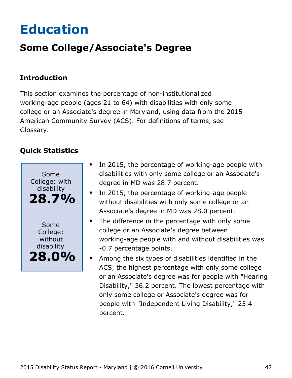# <span id="page-47-0"></span>**Education**

## **Some College/Associate's Degree**

### **Introduction**

This section examines the percentage of non-institutionalized working-age people (ages 21 to 64) with disabilities with only some college or an Associate's degree in Maryland, using data from the 2015 American Community Survey (ACS). For definitions of terms, see Glossary.



- In 2015, the percentage of working-age people with  $\bullet$ disabilities with only some college or an Associate's degree in MD was 28.7 percent.
- In 2015, the percentage of working-age people without disabilities with only some college or an Associate's degree in MD was 28.0 percent.
- The difference in the percentage with only some  $\bullet$ college or an Associate's degree between working-age people with and without disabilities was -0.7 percentage points.
- Among the six types of disabilities identified in the ACS, the highest percentage with only some college or an Associate's degree was for people with "Hearing Disability," 36.2 percent. The lowest percentage with only some college or Associate's degree was for people with "Independent Living Disability," 25.4 percent.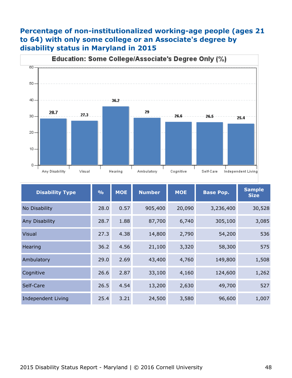## **Percentage of non-institutionalized working-age people (ages 21 to 64) with only some college or an Associate's degree by disability status in Maryland in 2015**



| <b>Disability Type</b>    | $\frac{9}{6}$ | <b>MOE</b> | <b>Number</b> | <b>MOE</b> | <b>Base Pop.</b> | <b>Sample</b><br><b>Size</b> |
|---------------------------|---------------|------------|---------------|------------|------------------|------------------------------|
| No Disability             | 28.0          | 0.57       | 905,400       | 20,090     | 3,236,400        | 30,528                       |
| <b>Any Disability</b>     | 28.7          | 1.88       | 87,700        | 6,740      | 305,100          | 3,085                        |
| <b>Visual</b>             | 27.3          | 4.38       | 14,800        | 2,790      | 54,200           | 536                          |
| Hearing                   | 36.2          | 4.56       | 21,100        | 3,320      | 58,300           | 575                          |
| Ambulatory                | 29.0          | 2.69       | 43,400        | 4,760      | 149,800          | 1,508                        |
| Cognitive                 | 26.6          | 2.87       | 33,100        | 4,160      | 124,600          | 1,262                        |
| Self-Care                 | 26.5          | 4.54       | 13,200        | 2,630      | 49,700           | 527                          |
| <b>Independent Living</b> | 25.4          | 3.21       | 24,500        | 3,580      | 96,600           | 1,007                        |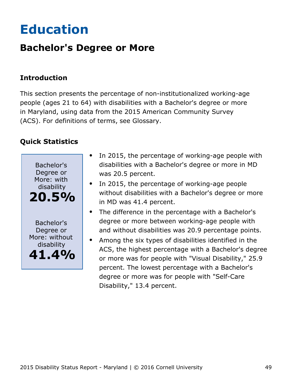# <span id="page-49-0"></span>**Education**

## **Bachelor's Degree or More**

### **Introduction**

This section presents the percentage of non-institutionalized working-age people (ages 21 to 64) with disabilities with a Bachelor's degree or more in Maryland, using data from the 2015 American Community Survey (ACS). For definitions of terms, see Glossary.



- In 2015, the percentage of working-age people with disabilities with a Bachelor's degree or more in MD was 20.5 percent.
- In 2015, the percentage of working-age people without disabilities with a Bachelor's degree or more in MD was 41.4 percent.
- The difference in the percentage with a Bachelor's degree or more between working-age people with and without disabilities was 20.9 percentage points.
- Among the six types of disabilities identified in the ACS, the highest percentage with a Bachelor's degree or more was for people with "Visual Disability," 25.9 percent. The lowest percentage with a Bachelor's degree or more was for people with "Self-Care Disability," 13.4 percent.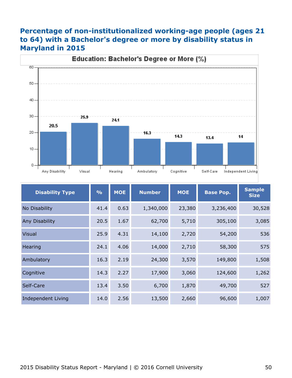### **Percentage of non-institutionalized working-age people (ages 21 to 64) with a Bachelor's degree or more by disability status in Maryland in 2015**



| <b>Disability Type</b>    | $\frac{0}{0}$ | <b>MOE</b> | <b>Number</b> | <b>MOE</b> | <b>Base Pop.</b> |        |
|---------------------------|---------------|------------|---------------|------------|------------------|--------|
| No Disability             | 41.4          | 0.63       | 1,340,000     | 23,380     | 3,236,400        | 30,528 |
| <b>Any Disability</b>     | 20.5          | 1.67       | 62,700        | 5,710      | 305,100          | 3,085  |
| <b>Visual</b>             | 25.9          | 4.31       | 14,100        | 2,720      | 54,200           | 536    |
| Hearing                   | 24.1          | 4.06       | 14,000        | 2,710      | 58,300           | 575    |
| Ambulatory                | 16.3          | 2.19       | 24,300        | 3,570      | 149,800          | 1,508  |
| Cognitive                 | 14.3          | 2.27       | 17,900        | 3,060      | 124,600          | 1,262  |
| Self-Care                 | 13.4          | 3.50       | 6,700         | 1,870      | 49,700           | 527    |
| <b>Independent Living</b> | 14.0          | 2.56       | 13,500        | 2,660      | 96,600           | 1,007  |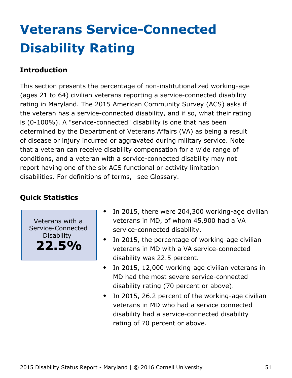# <span id="page-51-0"></span>**Veterans Service-Connected Disability Rating**

### **Introduction**

This section presents the percentage of non-institutionalized working-age (ages 21 to 64) civilian veterans reporting a service-connected disability rating in Maryland. The 2015 American Community Survey (ACS) asks if the veteran has a service-connected disability, and if so, what their rating is (0-100%). A "service-connected" disability is one that has been determined by the Department of Veterans Affairs (VA) as being a result of disease or injury incurred or aggravated during military service. Note that a veteran can receive disability compensation for a wide range of conditions, and a veteran with a service-connected disability may not report having one of the six ACS functional or activity limitation disabilities. For definitions of terms, see Glossary.

### **Quick Statistics**

Veterans with a Service-Connected Disability **22.5%**

- In 2015, there were 204,300 working-age civilian veterans in MD, of whom 45,900 had a VA service-connected disability.
- $\bullet$ In 2015, the percentage of working-age civilian veterans in MD with a VA service-connected disability was 22.5 percent.
- In 2015, 12,000 working-age civilian veterans in  $\bullet$ MD had the most severe service-connected disability rating (70 percent or above).
- In 2015, 26.2 percent of the working-age civilian  $\bullet$ veterans in MD who had a service connected disability had a service-connected disability rating of 70 percent or above.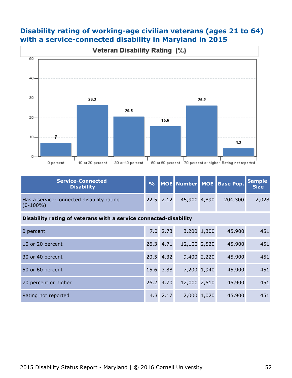### **Disability rating of working-age civilian veterans (ages 21 to 64) with a service-connected disability in Maryland in 2015**



| <b>Service-Connected</b><br><b>Disability</b>                     | $\frac{9}{6}$ |               | MOE Number MOE |             | <b>Base Pop.</b> | <b>Sample</b><br><b>Size</b> |  |  |  |  |
|-------------------------------------------------------------------|---------------|---------------|----------------|-------------|------------------|------------------------------|--|--|--|--|
| Has a service-connected disability rating<br>$(0-100\%)$          |               | $22.5$ $2.12$ | 45,900 4,890   |             | 204,300          | 2,028                        |  |  |  |  |
| Disability rating of veterans with a service connected-disability |               |               |                |             |                  |                              |  |  |  |  |
| 0 percent                                                         |               | $7.0$ 2.73    |                | 3,200 1,300 | 45,900           | 451                          |  |  |  |  |
| 10 or 20 percent                                                  |               | 26.3 4.71     | 12,100 2,520   |             | 45,900           | 451                          |  |  |  |  |
| 30 or 40 percent                                                  |               | 20.5 4.32     |                | 9,400 2,220 | 45,900           | 451                          |  |  |  |  |
| 50 or 60 percent                                                  |               | 15.6 3.88     |                | 7,200 1,940 | 45,900           | 451                          |  |  |  |  |
| 70 percent or higher                                              |               | 26.2 4.70     | 12,000 2,510   |             | 45,900           | 451                          |  |  |  |  |
| Rating not reported                                               |               | $4.3$ 2.17    |                | 2,000 1,020 | 45,900           | 451                          |  |  |  |  |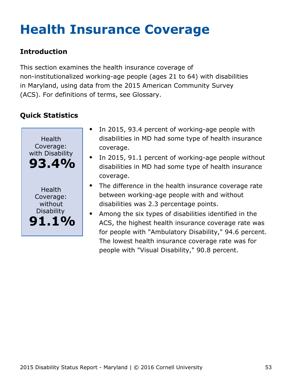# <span id="page-53-0"></span>**Health Insurance Coverage**

## **Introduction**

This section examines the health insurance coverage of non-institutionalized working-age people (ages 21 to 64) with disabilities in Maryland, using data from the 2015 American Community Survey (ACS). For definitions of terms, see Glossary.



- In 2015, 93.4 percent of working-age people with disabilities in MD had some type of health insurance coverage.
- In 2015, 91.1 percent of working-age people without disabilities in MD had some type of health insurance coverage.
- The difference in the health insurance coverage rate between working-age people with and without disabilities was 2.3 percentage points.
- Among the six types of disabilities identified in the ACS, the highest health insurance coverage rate was for people with "Ambulatory Disability," 94.6 percent. The lowest health insurance coverage rate was for people with "Visual Disability," 90.8 percent.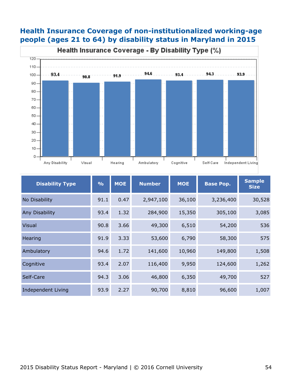#### **Health Insurance Coverage of non-institutionalized working-age people (ages 21 to 64) by disability status in Maryland in 2015**



| <b>Disability Type</b>    | $\frac{9}{6}$ | <b>MOE</b> | <b>Number</b> | <b>MOE</b> | <b>Base Pop.</b> | <b>Sample</b><br><b>Size</b> |
|---------------------------|---------------|------------|---------------|------------|------------------|------------------------------|
| No Disability             | 91.1          | 0.47       | 2,947,100     | 36,100     | 3,236,400        | 30,528                       |
| Any Disability            | 93.4          | 1.32       | 284,900       | 15,350     | 305,100          | 3,085                        |
| <b>Visual</b>             | 90.8          | 3.66       | 49,300        | 6,510      | 54,200           | 536                          |
| Hearing                   | 91.9          | 3.33       | 53,600        | 6,790      | 58,300           | 575                          |
| Ambulatory                | 94.6          | 1.72       | 141,600       | 10,960     | 149,800          | 1,508                        |
| Cognitive                 | 93.4          | 2.07       | 116,400       | 9,950      | 124,600          | 1,262                        |
| Self-Care                 | 94.3          | 3.06       | 46,800        | 6,350      | 49,700           | 527                          |
| <b>Independent Living</b> | 93.9          | 2.27       | 90,700        | 8,810      | 96,600           | 1,007                        |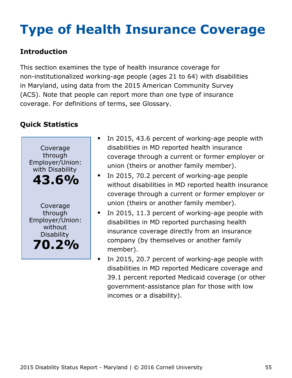# <span id="page-55-0"></span>**Type of Health Insurance Coverage**

## **Introduction**

This section examines the type of health insurance coverage for non-institutionalized working-age people (ages 21 to 64) with disabilities in Maryland, using data from the 2015 American Community Survey (ACS). Note that people can report more than one type of insurance coverage. For definitions of terms, see Glossary.



- In 2015, 43.6 percent of working-age people with disabilities in MD reported health insurance coverage through a current or former employer or union (theirs or another family member).
- In 2015, 70.2 percent of working-age people  $\bullet$ without disabilities in MD reported health insurance coverage through a current or former employer or union (theirs or another family member).
- In 2015, 11.3 percent of working-age people with disabilities in MD reported purchasing health insurance coverage directly from an insurance company (by themselves or another family member).
	- In 2015, 20.7 percent of working-age people with disabilities in MD reported Medicare coverage and 39.1 percent reported Medicaid coverage (or other government-assistance plan for those with low incomes or a disability).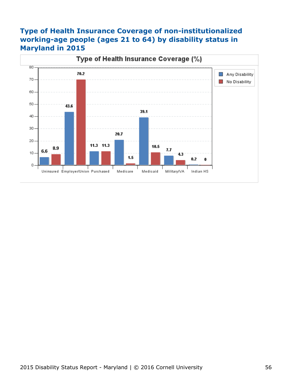### **Type of Health Insurance Coverage of non-institutionalized working-age people (ages 21 to 64) by disability status in Maryland in 2015**

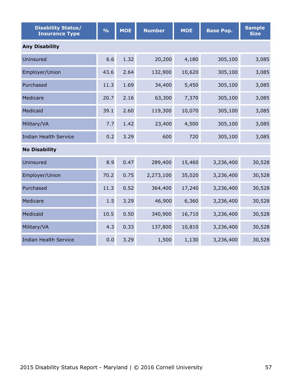| <b>Disability Status/</b><br><b>Insurance Type</b> | $\frac{0}{0}$ | <b>MOE</b> | <b>Number</b> | <b>MOE</b> | <b>Base Pop.</b> | <b>Sample</b><br><b>Size</b> |  |  |  |  |
|----------------------------------------------------|---------------|------------|---------------|------------|------------------|------------------------------|--|--|--|--|
| <b>Any Disability</b>                              |               |            |               |            |                  |                              |  |  |  |  |
| Uninsured                                          | 6.6           | 1.32       | 20,200        | 4,180      | 305,100          | 3,085                        |  |  |  |  |
| Employer/Union                                     | 43.6          | 2.64       | 132,900       | 10,620     | 305,100          | 3,085                        |  |  |  |  |
| Purchased                                          | 11.3          | 1.69       | 34,400        | 5,450      | 305,100          | 3,085                        |  |  |  |  |
| Medicare                                           | 20.7          | 2.16       | 63,300        | 7,370      | 305,100          | 3,085                        |  |  |  |  |
| Medicaid                                           | 39.1          | 2.60       | 119,300       | 10,070     | 305,100          | 3,085                        |  |  |  |  |
| Military/VA                                        | 7.7           | 1.42       | 23,400        | 4,500      | 305,100          | 3,085                        |  |  |  |  |
| <b>Indian Health Service</b>                       | 0.2           | 3.29       | 600           | 720        | 305,100          | 3,085                        |  |  |  |  |
| <b>No Disability</b>                               |               |            |               |            |                  |                              |  |  |  |  |
| Uninsured                                          | 8.9           | 0.47       | 289,400       | 15,460     | 3,236,400        | 30,528                       |  |  |  |  |
| Employer/Union                                     | 70.2          | 0.75       | 2,273,100     | 35,020     | 3,236,400        | 30,528                       |  |  |  |  |
| Purchased                                          | 11.3          | 0.52       | 364,400       | 17,240     | 3,236,400        | 30,528                       |  |  |  |  |
| Medicare                                           | 1.5           | 3.29       | 46,900        | 6,360      | 3,236,400        | 30,528                       |  |  |  |  |
| Medicaid                                           | 10.5          | 0.50       | 340,900       | 16,710     | 3,236,400        | 30,528                       |  |  |  |  |
| Military/VA                                        | 4.3           | 0.33       | 137,800       | 10,810     | 3,236,400        | 30,528                       |  |  |  |  |
| <b>Indian Health Service</b>                       | 0.0           | 3.29       | 1,500         | 1,130      | 3,236,400        | 30,528                       |  |  |  |  |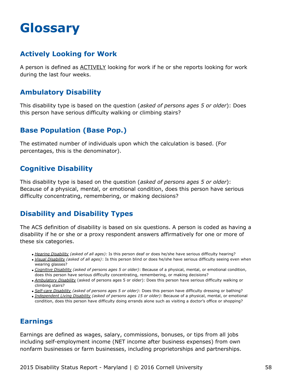## <span id="page-58-0"></span>**Glossary**

#### **Actively Looking for Work**

A person is defined as ACTIVELY looking for work if he or she reports looking for work during the last four weeks.

### **Ambulatory Disability**

This disability type is based on the question (*asked of persons ages 5 or older*): Does this person have serious difficulty walking or climbing stairs?

### **Base Population (Base Pop.)**

The estimated number of individuals upon which the calculation is based. (For percentages, this is the denominator).

#### **Cognitive Disability**

This disability type is based on the question (*asked of persons ages 5 or older*): Because of a physical, mental, or emotional condition, does this person have serious difficulty concentrating, remembering, or making decisions?

### **Disability and Disability Types**

The ACS definition of disability is based on six questions. A person is coded as having a disability if he or she or a proxy respondent answers affirmatively for one or more of these six categories.

- *Hearing Disability (asked of all ages):* Is this person deaf or does he/she have serious difficulty hearing?
- *Visual Disability (asked of all ages)*: Is this person blind or does he/she have serious difficulty seeing even when wearing glasses?
- *Cognitive Disability (asked of persons ages 5 or older)*: Because of a physical, mental, or emotional condition, does this person have serious difficulty concentrating, remembering, or making decisions?
- *Ambulatory Disability* (asked of persons ages 5 or older): Does this person have serious difficulty walking or climbing stairs?
- *Self-care Disability (asked of persons ages 5 or older)*: Does this person have difficulty dressing or bathing?
- *Independent Living Disability (asked of persons ages 15 or older):* Because of a physical, mental, or emotional condition, does this person have difficulty doing errands alone such as visiting a doctor's office or shopping?

#### **Earnings**

Earnings are defined as wages, salary, commissions, bonuses, or tips from all jobs including self-employment income (NET income after business expenses) from own nonfarm businesses or farm businesses, including proprietorships and partnerships.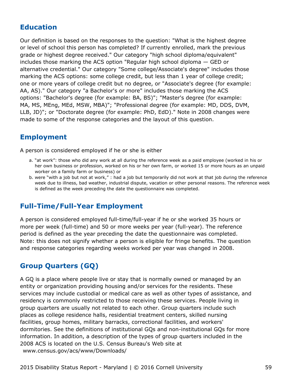#### **Education**

Our definition is based on the responses to the question: "What is the highest degree or level of school this person has completed? If currently enrolled, mark the previous grade or highest degree received." Our category "high school diploma/equivalent" includes those marking the ACS option "Regular high school diploma — GED or alternative credential." Our category "Some college/Associate's degree" includes those marking the ACS options: some college credit, but less than 1 year of college credit; one or more years of college credit but no degree, or "Associate's degree (for example: AA, AS)." Our category "a Bachelor's or more" includes those marking the ACS options: "Bachelor's degree (for example: BA, BS)"; "Master's degree (for example: MA, MS, MEng, MEd, MSW, MBA)"; "Professional degree (for example: MD, DDS, DVM, LLB, JD)"; or "Doctorate degree (for example: PhD, EdD)." Note in 2008 changes were made to some of the response categories and the layout of this question.

#### **Employment**

A person is considered employed if he or she is either

- a. "at work": those who did any work at all during the reference week as a paid employee (worked in his or her own business or profession, worked on his or her own farm, or worked 15 or more hours as an unpaid worker on a family farm or business) or
- b. were "with a job but not at work," : had a job but temporarily did not work at that job during the reference week due to illness, bad weather, industrial dispute, vacation or other personal reasons. The reference week is defined as the week preceding the date the questionnaire was completed.

#### **Full-Time/Full-Year Employment**

A person is considered employed full-time/full-year if he or she worked 35 hours or more per week (full-time) and 50 or more weeks per year (full-year). The reference period is defined as the year preceding the date the questionnaire was completed. Note: this does not signify whether a person is eligible for fringe benefits. The question and response categories regarding weeks worked per year was changed in 2008.

### **Group Quarters (GQ)**

A GQ is a place where people live or stay that is normally owned or managed by an entity or organization providing housing and/or services for the residents. These services may include custodial or medical care as well as other types of assistance, and residency is commonly restricted to those receiving these services. People living in group quarters are usually not related to each other. Group quarters include such places as college residence halls, residential treatment centers, skilled nursing facilities, group homes, military barracks, correctional facilities, and workers' dormitories. See the definitions of institutional GQs and non-institutional GQs for more information. In addition, a description of the types of group quarters included in the 2008 ACS is located on the U.S. Census Bureau's Web site at [www.census.gov/acs/www/Downloads/](http://www.census.gov/acs/www/Downloads/2008_ACS_GQ_Definitions.pdf)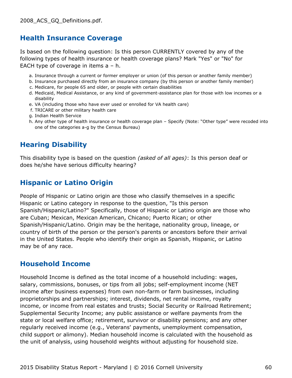#### **Health Insurance Coverage**

Is based on the following question: Is this person CURRENTLY covered by any of the following types of health insurance or health coverage plans? Mark "Yes" or "No" for EACH type of coverage in items a – h.

- a. Insurance through a current or former employer or union (of this person or another family member)
- b. Insurance purchased directly from an insurance company (by this person or another family member)
- c. Medicare, for people 65 and older, or people with certain disabilities
- d. Medicaid, Medical Assistance, or any kind of government-assistance plan for those with low incomes or a disability
- e. VA (including those who have ever used or enrolled for VA health care)
- f. TRICARE or other military health care
- g. Indian Health Service
- h. Any other type of health insurance or health coverage plan Specify (Note: "Other type" were recoded into one of the categories a-g by the Census Bureau)

#### **Hearing Disability**

This disability type is based on the question *(asked of all ages)*: Is this person deaf or does he/she have serious difficulty hearing?

#### **Hispanic or Latino Origin**

People of Hispanic or Latino origin are those who classify themselves in a specific Hispanic or Latino category in response to the question, "Is this person Spanish/Hispanic/Latino?" Specifically, those of Hispanic or Latino origin are those who are Cuban; Mexican, Mexican American, Chicano; Puerto Rican; or other Spanish/Hispanic/Latino. Origin may be the heritage, nationality group, lineage, or country of birth of the person or the person's parents or ancestors before their arrival in the United States. People who identify their origin as Spanish, Hispanic, or Latino may be of any race.

#### **Household Income**

Household Income is defined as the total income of a household including: wages, salary, commissions, bonuses, or tips from all jobs; self-employment income (NET income after business expenses) from own non-farm or farm businesses, including proprietorships and partnerships; interest, dividends, net rental income, royalty income, or income from real estates and trusts; Social Security or Railroad Retirement; Supplemental Security Income; any public assistance or welfare payments from the state or local welfare office; retirement, survivor or disability pensions; and any other regularly received income (e.g., Veterans' payments, unemployment compensation, child support or alimony). Median household income is calculated with the household as the unit of analysis, using household weights without adjusting for household size.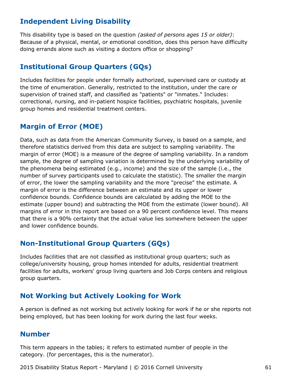#### **Independent Living Disability**

This disability type is based on the question *(asked of persons ages 15 or older)*: Because of a physical, mental, or emotional condition, does this person have difficulty doing errands alone such as visiting a doctors office or shopping?

#### **Institutional Group Quarters (GQs)**

Includes facilities for people under formally authorized, supervised care or custody at the time of enumeration. Generally, restricted to the institution, under the care or supervision of trained staff, and classified as "patients" or "inmates." Includes: correctional, nursing, and in-patient hospice facilities, psychiatric hospitals, juvenile group homes and residential treatment centers.

### **Margin of Error (MOE)**

Data, such as data from the American Community Survey, is based on a sample, and therefore statistics derived from this data are subject to sampling variability. The margin of error (MOE) is a measure of the degree of sampling variability. In a random sample, the degree of sampling variation is determined by the underlying variability of the phenomena being estimated (e.g., income) and the size of the sample (i.e., the number of survey participants used to calculate the statistic). The smaller the margin of error, the lower the sampling variability and the more "precise" the estimate. A margin of error is the difference between an estimate and its upper or lower confidence bounds. Confidence bounds are calculated by adding the MOE to the estimate (upper bound) and subtracting the MOE from the estimate (lower bound). All margins of error in this report are based on a 90 percent confidence level. This means that there is a 90% certainty that the actual value lies somewhere between the upper and lower confidence bounds.

#### **Non-Institutional Group Quarters (GQs)**

Includes facilities that are not classified as institutional group quarters; such as college/university housing, group homes intended for adults, residential treatment facilities for adults, workers' group living quarters and Job Corps centers and religious group quarters.

#### **Not Working but Actively Looking for Work**

A person is defined as not working but actively looking for work if he or she reports not being employed, but has been looking for work during the last four weeks.

#### **Number**

This term appears in the tables; it refers to estimated number of people in the category. (for percentages, this is the numerator).

2015 Disability Status Report - Maryland | © 2016 Cornell University 61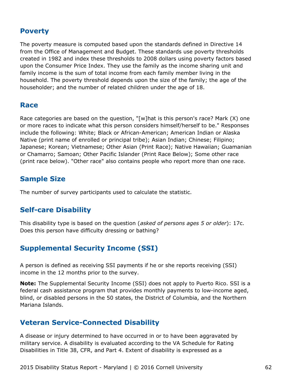#### **Poverty**

The poverty measure is computed based upon the standards defined in Directive 14 from the Office of Management and Budget. These standards use poverty thresholds created in 1982 and index these thresholds to 2008 dollars using poverty factors based upon the Consumer Price Index. They use the family as the income sharing unit and family income is the sum of total income from each family member living in the household. The poverty threshold depends upon the size of the family; the age of the householder; and the number of related children under the age of 18.

#### **Race**

Race categories are based on the question, "[w]hat is this person's race? Mark (X) one or more races to indicate what this person considers himself/herself to be." Responses include the following: White; Black or African-American; American Indian or Alaska Native (print name of enrolled or principal tribe); Asian Indian; Chinese; Filipino; Japanese; Korean; Vietnamese; Other Asian (Print Race); Native Hawaiian; Guamanian or Chamarro; Samoan; Other Pacific Islander (Print Race Below); Some other race (print race below). "Other race" also contains people who report more than one race.

#### **Sample Size**

The number of survey participants used to calculate the statistic.

#### **Self-care Disability**

This disability type is based on the question (*asked of persons ages 5 or older*): 17c. Does this person have difficulty dressing or bathing?

#### **Supplemental Security Income (SSI)**

A person is defined as receiving SSI payments if he or she reports receiving (SSI) income in the 12 months prior to the survey.

**Note:** The Supplemental Security Income (SSI) does not apply to Puerto Rico. SSI is a federal cash assistance program that provides monthly payments to low-income aged, blind, or disabled persons in the 50 states, the District of Columbia, and the Northern Mariana Islands.

#### **Veteran Service-Connected Disability**

A disease or injury determined to have occurred in or to have been aggravated by military service. A disability is evaluated according to the VA Schedule for Rating Disabilities in Title 38, CFR, and Part 4. Extent of disability is expressed as a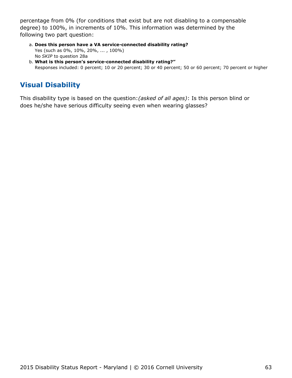percentage from 0% (for conditions that exist but are not disabling to a compensable degree) to 100%, in increments of 10%. This information was determined by the following two part question:

- **Does this person have a VA service-connected disability rating?** a. Yes (such as 0%, 10%, 20%, ... , 100%) No *SKIP* to question 28a
- **What is this person's service-connected disability rating?"** b. Responses included: 0 percent; 10 or 20 percent; 30 or 40 percent; 50 or 60 percent; 70 percent or higher

## **Visual Disability**

This disability type is based on the question:*(asked of all ages)*: Is this person blind or does he/she have serious difficulty seeing even when wearing glasses?